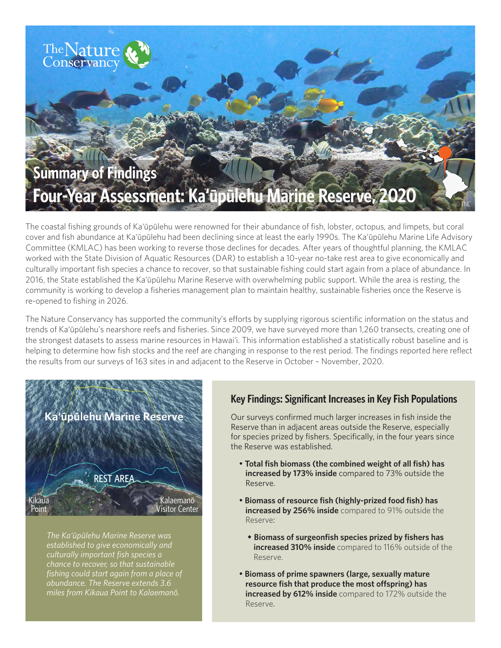

The coastal fishing grounds of Ka'ūpūlehu were renowned for their abundance of fish, lobster, octopus, and limpets, but coral cover and fish abundance at Ka'ūpūlehu had been declining since at least the early 1990s. The Ka'ūpūlehu Marine Life Advisory Committee (KMLAC) has been working to reverse those declines for decades. After years of thoughtful planning, the KMLAC worked with the State Division of Aquatic Resources (DAR) to establish a 10-year no-take rest area to give economically and culturally important fish species a chance to recover, so that sustainable fishing could start again from a place of abundance. In 2016, the State established the Ka'ūpūlehu Marine Reserve with overwhelming public support. While the area is resting, the community is working to develop a fisheries management plan to maintain healthy, sustainable fisheries once the Reserve is re-opened to fishing in 2026.

The Nature Conservancy has supported the community's efforts by supplying rigorous scientific information on the status and trends of Ka'ūpūlehu's nearshore reefs and fisheries. Since 2009, we have surveyed more than 1,260 transects, creating one of the strongest datasets to assess marine resources in Hawai'i. This information established a statistically robust baseline and is helping to determine how fish stocks and the reef are changing in response to the rest period. The findings reported here reflect the results from our surveys of 163 sites in and adjacent to the Reserve in October – November, 2020.



*The Ka'ūpūlehu Marine Reserve was established to give economically and culturally important fish species a chance to recover, so that sustainable fishing could start again from a place of abundance. The Reserve extends 3.6 miles from Kikaua Point to Kalaemanō.* 

# **Key Findings: Significant Increases in Key Fish Populations**

Our surveys confirmed much larger increases in fish inside the Reserve than in adjacent areas outside the Reserve, especially for species prized by fishers. Specifically, in the four years since the Reserve was established.

- **Total fish biomass (the combined weight of all fish) has increased by 173% inside** compared to 73% outside the Reserve.
- **Biomass of resource fish (highly-prized food fish) has increased by 256% inside** compared to 91% outside the Reserve:
	- **Biomass of surgeonfish species prized by fishers has increased 310% inside** compared to 116% outside of the Reserve.
- **Biomass of prime spawners (large, sexually mature**  resource fish that produce the most offspring) has **increased by 612% inside** compared to 172% outside the Reserve.